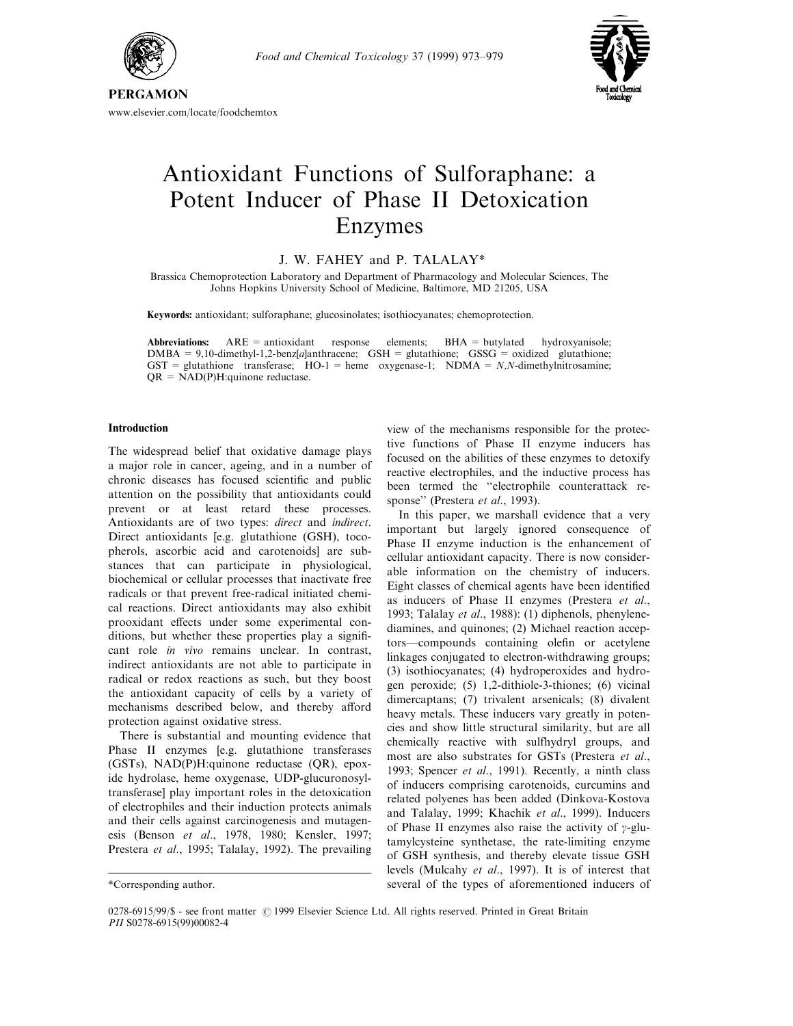



# www.elsevier.com/locate/foodchemtox

# Antioxidant Functions of Sulforaphane: a Potent Inducer of Phase II Detoxication Enzymes

# J. W. FAHEY and P. TALALAY\*

Brassica Chemoprotection Laboratory and Department of Pharmacology and Molecular Sciences, The Johns Hopkins University School of Medicine, Baltimore, MD 21205, USA

Keywords: antioxidant; sulforaphane; glucosinolates; isothiocyanates; chemoprotection.

Abbreviations:  $ARE = antioxidant$  response elements;  $BHA = butylated$  hydroxyanisole; DMBA = 9,10-dimethyl-1,2-benz[a]anthracene; GSH = glutathione; GSSG = oxidized glutathione; GST = glutathione transferase;  $HO-1$  = heme oxygenase-1; NDMA = N,N-dimethylnitrosamine;  $QR = NAD(P)H:$ quinone reductase.

## Introduction

The widespread belief that oxidative damage plays a major role in cancer, ageing, and in a number of chronic diseases has focused scientific and public attention on the possibility that antioxidants could prevent or at least retard these processes. Antioxidants are of two types: direct and indirect. Direct antioxidants [e.g. glutathione (GSH), tocopherols, ascorbic acid and carotenoids] are substances that can participate in physiological, biochemical or cellular processes that inactivate free radicals or that prevent free-radical initiated chemical reactions. Direct antioxidants may also exhibit prooxidant effects under some experimental conditions, but whether these properties play a significant role in vivo remains unclear. In contrast, indirect antioxidants are not able to participate in radical or redox reactions as such, but they boost the antioxidant capacity of cells by a variety of mechanisms described below, and thereby afford protection against oxidative stress.

There is substantial and mounting evidence that Phase II enzymes [e.g. glutathione transferases (GSTs), NAD(P)H:quinone reductase (QR), epoxide hydrolase, heme oxygenase, UDP-glucuronosyltransferase] play important roles in the detoxication of electrophiles and their induction protects animals and their cells against carcinogenesis and mutagenesis (Benson et al., 1978, 1980; Kensler, 1997; Prestera et al., 1995; Talalay, 1992). The prevailing view of the mechanisms responsible for the protective functions of Phase II enzyme inducers has focused on the abilities of these enzymes to detoxify reactive electrophiles, and the inductive process has been termed the "electrophile counterattack response" (Prestera et al., 1993).

In this paper, we marshall evidence that a very important but largely ignored consequence of Phase II enzyme induction is the enhancement of cellular antioxidant capacity. There is now considerable information on the chemistry of inducers. Eight classes of chemical agents have been identified as inducers of Phase II enzymes (Prestera et al., 1993; Talalay et al., 1988): (1) diphenols, phenylenediamines, and quinones; (2) Michael reaction acceptors—compounds containing olefin or acetylene linkages conjugated to electron-withdrawing groups; (3) isothiocyanates; (4) hydroperoxides and hydrogen peroxide; (5) 1,2-dithiole-3-thiones; (6) vicinal dimercaptans; (7) trivalent arsenicals; (8) divalent heavy metals. These inducers vary greatly in potencies and show little structural similarity, but are all chemically reactive with sulfhydryl groups, and most are also substrates for GSTs (Prestera et al., 1993; Spencer et al., 1991). Recently, a ninth class of inducers comprising carotenoids, curcumins and related polyenes has been added (Dinkova-Kostova and Talalay, 1999; Khachik et al., 1999). Inducers of Phase II enzymes also raise the activity of  $\gamma$ -glutamylcysteine synthetase, the rate-limiting enzyme of GSH synthesis, and thereby elevate tissue GSH levels (Mulcahy et al., 1997). It is of interest that several of the types of aforementioned inducers of

<sup>\*</sup>Corresponding author.

<sup>0278-6915/99/\$ -</sup> see front matter © 1999 Elsevier Science Ltd. All rights reserved. Printed in Great Britain PII S0278-6915(99)00082-4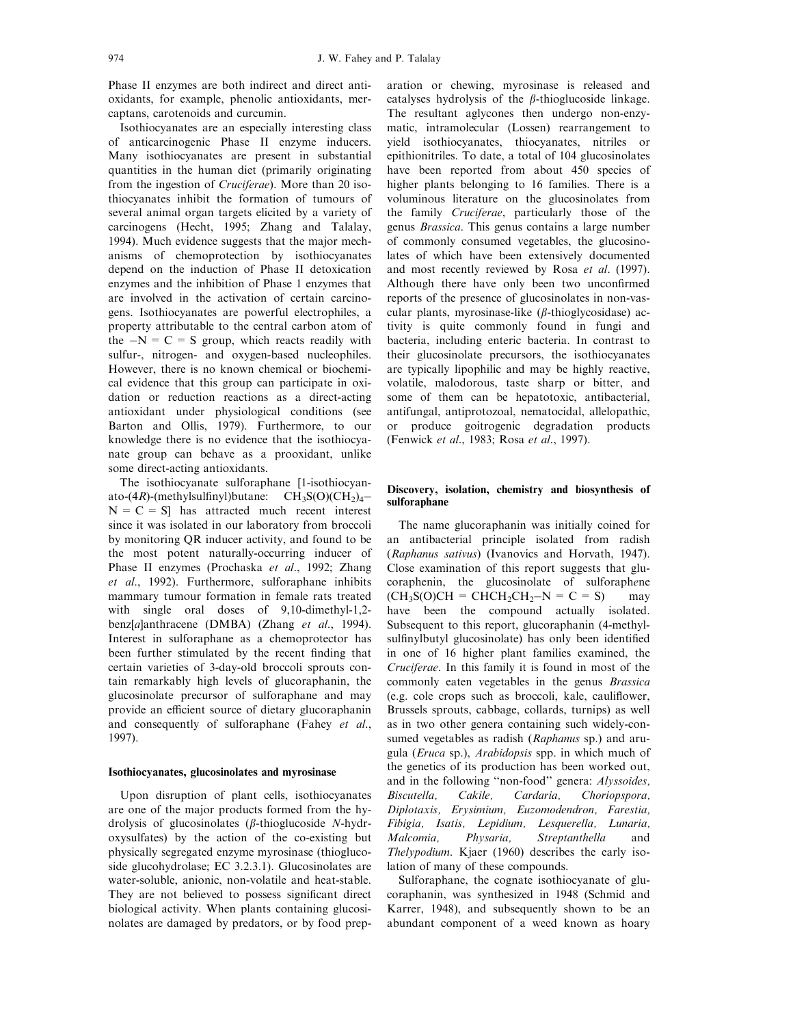Phase II enzymes are both indirect and direct antioxidants, for example, phenolic antioxidants, mercaptans, carotenoids and curcumin.

Isothiocyanates are an especially interesting class of anticarcinogenic Phase II enzyme inducers. Many isothiocyanates are present in substantial quantities in the human diet (primarily originating from the ingestion of Cruciferae). More than 20 isothiocyanates inhibit the formation of tumours of several animal organ targets elicited by a variety of carcinogens (Hecht, 1995; Zhang and Talalay, 1994). Much evidence suggests that the major mechanisms of chemoprotection by isothiocyanates depend on the induction of Phase II detoxication enzymes and the inhibition of Phase 1 enzymes that are involved in the activation of certain carcinogens. Isothiocyanates are powerful electrophiles, a property attributable to the central carbon atom of the  $-N = C = S$  group, which reacts readily with sulfur-, nitrogen- and oxygen-based nucleophiles. However, there is no known chemical or biochemical evidence that this group can participate in oxidation or reduction reactions as a direct-acting antioxidant under physiological conditions (see Barton and Ollis, 1979). Furthermore, to our knowledge there is no evidence that the isothiocyanate group can behave as a prooxidant, unlike some direct-acting antioxidants.

The isothiocyanate sulforaphane [1-isothiocyanato-(4R)-(methylsulfinyl)butane:  $CH_3S(O)(CH_2)_4$ - $N = C = S$ ] has attracted much recent interest since it was isolated in our laboratory from broccoli by monitoring QR inducer activity, and found to be the most potent naturally-occurring inducer of Phase II enzymes (Prochaska et al., 1992; Zhang et al., 1992). Furthermore, sulforaphane inhibits mammary tumour formation in female rats treated with single oral doses of 9,10-dimethyl-1,2 benz[a]anthracene (DMBA) (Zhang et al., 1994). Interest in sulforaphane as a chemoprotector has been further stimulated by the recent finding that certain varieties of 3-day-old broccoli sprouts contain remarkably high levels of glucoraphanin, the glucosinolate precursor of sulforaphane and may provide an efficient source of dietary glucoraphanin and consequently of sulforaphane (Fahey et al., 1997).

#### Isothiocyanates, glucosinolates and myrosinase

Upon disruption of plant cells, isothiocyanates are one of the major products formed from the hydrolysis of glucosinolates ( $\beta$ -thioglucoside N-hydroxysulfates) by the action of the co-existing but physically segregated enzyme myrosinase (thioglucoside glucohydrolase; EC 3.2.3.1). Glucosinolates are water-soluble, anionic, non-volatile and heat-stable. They are not believed to possess significant direct biological activity. When plants containing glucosinolates are damaged by predators, or by food preparation or chewing, myrosinase is released and catalyses hydrolysis of the  $\beta$ -thioglucoside linkage. The resultant aglycones then undergo non-enzymatic, intramolecular (Lossen) rearrangement to yield isothiocyanates, thiocyanates, nitriles or epithionitriles. To date, a total of 104 glucosinolates have been reported from about 450 species of higher plants belonging to 16 families. There is a voluminous literature on the glucosinolates from the family Cruciferae, particularly those of the genus Brassica. This genus contains a large number of commonly consumed vegetables, the glucosinolates of which have been extensively documented and most recently reviewed by Rosa et al. (1997). Although there have only been two unconfirmed reports of the presence of glucosinolates in non-vascular plants, myrosinase-like  $(\beta$ -thioglycosidase) activity is quite commonly found in fungi and bacteria, including enteric bacteria. In contrast to their glucosinolate precursors, the isothiocyanates are typically lipophilic and may be highly reactive, volatile, malodorous, taste sharp or bitter, and some of them can be hepatotoxic, antibacterial, antifungal, antiprotozoal, nematocidal, allelopathic, or produce goitrogenic degradation products (Fenwick et al., 1983; Rosa et al., 1997).

## Discovery, isolation, chemistry and biosynthesis of sulforaphane

The name glucoraphanin was initially coined for an antibacterial principle isolated from radish (Raphanus sativus) (Ivanovics and Horvath, 1947). Close examination of this report suggests that glucoraphenin, the glucosinolate of sulforaphene  $(CH_3S(O)CH = CHCH_2CH_2-N = C = S)$  may have been the compound actually isolated. Subsequent to this report, glucoraphanin (4-methylsulfinylbutyl glucosinolate) has only been identified in one of 16 higher plant families examined, the Cruciferae. In this family it is found in most of the commonly eaten vegetables in the genus Brassica (e.g. cole crops such as broccoli, kale, cauliflower, Brussels sprouts, cabbage, collards, turnips) as well as in two other genera containing such widely-consumed vegetables as radish (Raphanus sp.) and arugula (Eruca sp.), Arabidopsis spp. in which much of the genetics of its production has been worked out, and in the following "non-food" genera: Alyssoides, Biscutella, Cakile, Cardaria, Choriopspora, Diplotaxis, Erysimium, Euzomodendron, Farestia, Fibigia, Isatis, Lepidium, Lesquerella, Lunaria, Malcomia, Physaria, Streptanthella and Thelypodium. Kjaer (1960) describes the early isolation of many of these compounds.

Sulforaphane, the cognate isothiocyanate of glucoraphanin, was synthesized in 1948 (Schmid and Karrer, 1948), and subsequently shown to be an abundant component of a weed known as hoary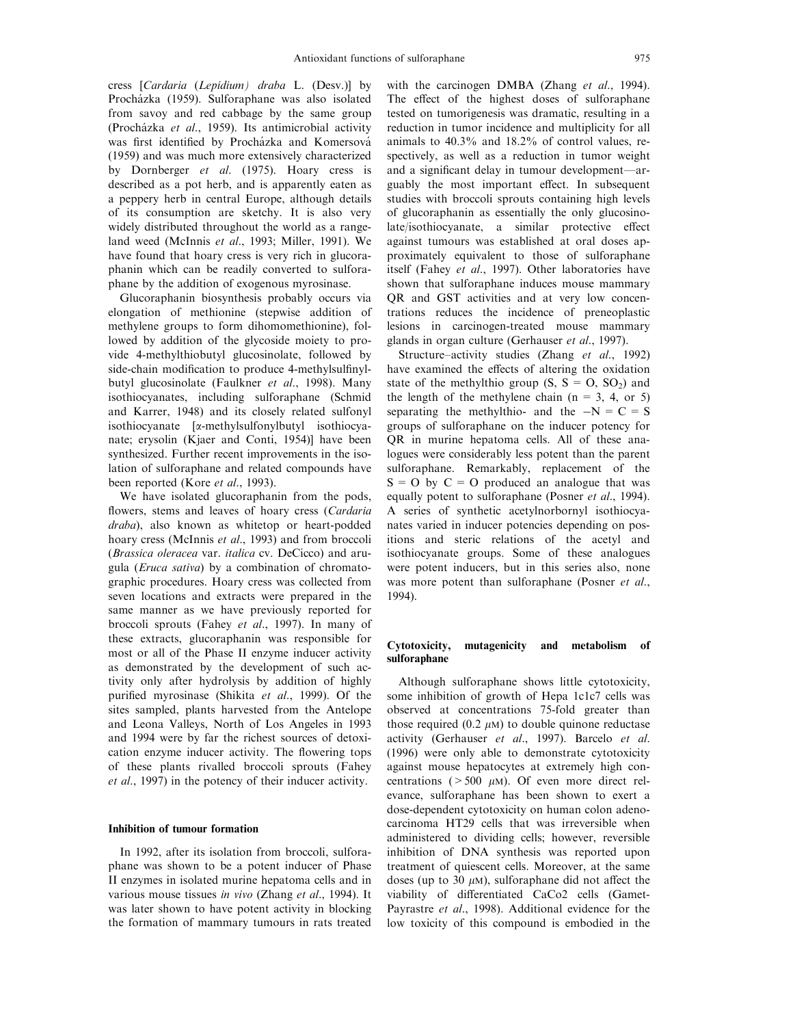cress [Cardaria (Lepidium) draba L. (Desv.)] by Procházka (1959). Sulforaphane was also isolated from savoy and red cabbage by the same group (Procházka et al., 1959). Its antimicrobial activity was first identified by Procházka and Komersová (1959) and was much more extensively characterized by Dornberger et al. (1975). Hoary cress is described as a pot herb, and is apparently eaten as a peppery herb in central Europe, although details of its consumption are sketchy. It is also very widely distributed throughout the world as a rangeland weed (McInnis et al., 1993; Miller, 1991). We have found that hoary cress is very rich in glucoraphanin which can be readily converted to sulforaphane by the addition of exogenous myrosinase.

Glucoraphanin biosynthesis probably occurs via elongation of methionine (stepwise addition of methylene groups to form dihomomethionine), followed by addition of the glycoside moiety to provide 4-methylthiobutyl glucosinolate, followed by side-chain modification to produce 4-methylsulfinylbutyl glucosinolate (Faulkner et al., 1998). Many isothiocyanates, including sulforaphane (Schmid and Karrer, 1948) and its closely related sulfonyl isothiocyanate [a-methylsulfonylbutyl isothiocyanate; erysolin (Kjaer and Conti, 1954)] have been synthesized. Further recent improvements in the isolation of sulforaphane and related compounds have been reported (Kore et al., 1993).

We have isolated glucoraphanin from the pods, flowers, stems and leaves of hoary cress (Cardaria draba), also known as whitetop or heart-podded hoary cress (McInnis et al., 1993) and from broccoli (Brassica oleracea var. italica cv. DeCicco) and arugula (Eruca sativa) by a combination of chromatographic procedures. Hoary cress was collected from seven locations and extracts were prepared in the same manner as we have previously reported for broccoli sprouts (Fahey et al., 1997). In many of these extracts, glucoraphanin was responsible for most or all of the Phase II enzyme inducer activity as demonstrated by the development of such activity only after hydrolysis by addition of highly purified myrosinase (Shikita et al., 1999). Of the sites sampled, plants harvested from the Antelope and Leona Valleys, North of Los Angeles in 1993 and 1994 were by far the richest sources of detoxication enzyme inducer activity. The flowering tops of these plants rivalled broccoli sprouts (Fahey et al., 1997) in the potency of their inducer activity.

## Inhibition of tumour formation

In 1992, after its isolation from broccoli, sulforaphane was shown to be a potent inducer of Phase II enzymes in isolated murine hepatoma cells and in various mouse tissues in vivo (Zhang et al., 1994). It was later shown to have potent activity in blocking the formation of mammary tumours in rats treated

with the carcinogen DMBA (Zhang et al., 1994). The effect of the highest doses of sulforaphane tested on tumorigenesis was dramatic, resulting in a reduction in tumor incidence and multiplicity for all animals to 40.3% and 18.2% of control values, respectively, as well as a reduction in tumor weight and a significant delay in tumour development—arguably the most important effect. In subsequent studies with broccoli sprouts containing high levels of glucoraphanin as essentially the only glucosinolate/isothiocyanate, a similar protective effect against tumours was established at oral doses approximately equivalent to those of sulforaphane itself (Fahey et al., 1997). Other laboratories have shown that sulforaphane induces mouse mammary QR and GST activities and at very low concentrations reduces the incidence of preneoplastic lesions in carcinogen-treated mouse mammary glands in organ culture (Gerhauser et al., 1997).

Structure-activity studies (Zhang et al., 1992) have examined the effects of altering the oxidation state of the methylthio group  $(S, S = O, SO_2)$  and the length of the methylene chain  $(n = 3, 4, or 5)$ separating the methylthio- and the  $-N=C=S$ groups of sulforaphane on the inducer potency for QR in murine hepatoma cells. All of these analogues were considerably less potent than the parent sulforaphane. Remarkably, replacement of the  $S = O$  by  $C = O$  produced an analogue that was equally potent to sulforaphane (Posner et al., 1994). A series of synthetic acetylnorbornyl isothiocyanates varied in inducer potencies depending on positions and steric relations of the acetyl and isothiocyanate groups. Some of these analogues were potent inducers, but in this series also, none was more potent than sulforaphane (Posner et al., 1994).

## Cytotoxicity, mutagenicity and metabolism of sulforaphane

Although sulforaphane shows little cytotoxicity, some inhibition of growth of Hepa 1c1c7 cells was observed at concentrations 75-fold greater than those required (0.2  $\mu$ M) to double quinone reductase activity (Gerhauser et al., 1997). Barcelo et al. (1996) were only able to demonstrate cytotoxicity against mouse hepatocytes at extremely high concentrations ( $>500 \mu M$ ). Of even more direct relevance, sulforaphane has been shown to exert a dose-dependent cytotoxicity on human colon adenocarcinoma HT29 cells that was irreversible when administered to dividing cells; however, reversible inhibition of DNA synthesis was reported upon treatment of quiescent cells. Moreover, at the same doses (up to 30  $\mu$ M), sulforaphane did not affect the viability of differentiated CaCo2 cells (Gamet-Payrastre et al., 1998). Additional evidence for the low toxicity of this compound is embodied in the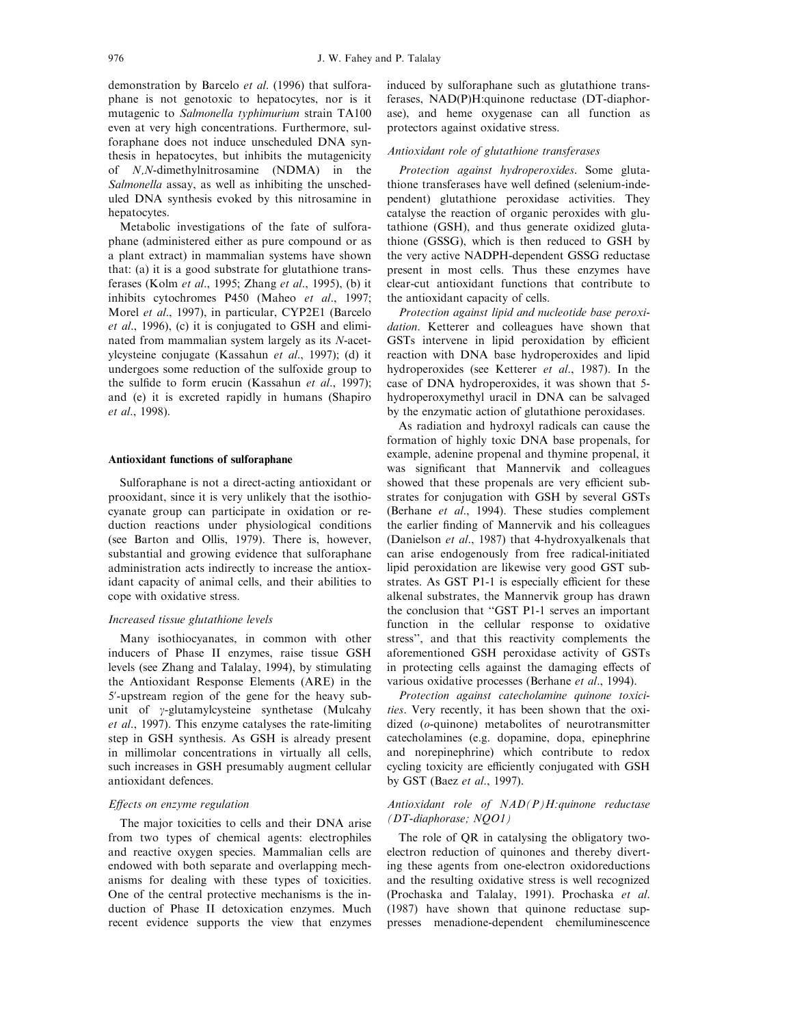demonstration by Barcelo et al. (1996) that sulforaphane is not genotoxic to hepatocytes, nor is it mutagenic to Salmonella typhimurium strain TA100 even at very high concentrations. Furthermore, sulforaphane does not induce unscheduled DNA synthesis in hepatocytes, but inhibits the mutagenicity of N,N-dimethylnitrosamine (NDMA) in the Salmonella assay, as well as inhibiting the unscheduled DNA synthesis evoked by this nitrosamine in hepatocytes.

Metabolic investigations of the fate of sulforaphane (administered either as pure compound or as a plant extract) in mammalian systems have shown that: (a) it is a good substrate for glutathione transferases (Kolm et al., 1995; Zhang et al., 1995), (b) it inhibits cytochromes P450 (Maheo et al., 1997; Morel et al., 1997), in particular, CYP2E1 (Barcelo et al., 1996), (c) it is conjugated to GSH and eliminated from mammalian system largely as its N-acetylcysteine conjugate (Kassahun et al., 1997); (d) it undergoes some reduction of the sulfoxide group to the sulfide to form erucin (Kassahun et al., 1997); and (e) it is excreted rapidly in humans (Shapiro et al., 1998).

#### Antioxidant functions of sulforaphane

Sulforaphane is not a direct-acting antioxidant or prooxidant, since it is very unlikely that the isothiocyanate group can participate in oxidation or reduction reactions under physiological conditions (see Barton and Ollis, 1979). There is, however, substantial and growing evidence that sulforaphane administration acts indirectly to increase the antioxidant capacity of animal cells, and their abilities to cope with oxidative stress.

## Increased tissue glutathione levels

Many isothiocyanates, in common with other inducers of Phase II enzymes, raise tissue GSH levels (see Zhang and Talalay, 1994), by stimulating the Antioxidant Response Elements (ARE) in the 5'-upstream region of the gene for the heavy subunit of  $\gamma$ -glutamylcysteine synthetase (Mulcahy et al., 1997). This enzyme catalyses the rate-limiting step in GSH synthesis. As GSH is already present in millimolar concentrations in virtually all cells, such increases in GSH presumably augment cellular antioxidant defences.

## Effects on enzyme regulation

The major toxicities to cells and their DNA arise from two types of chemical agents: electrophiles and reactive oxygen species. Mammalian cells are endowed with both separate and overlapping mechanisms for dealing with these types of toxicities. One of the central protective mechanisms is the induction of Phase II detoxication enzymes. Much recent evidence supports the view that enzymes

induced by sulforaphane such as glutathione transferases, NAD(P)H:quinone reductase (DT-diaphorase), and heme oxygenase can all function as protectors against oxidative stress.

## Antioxidant role of glutathione transferases

Protection against hydroperoxides. Some glutathione transferases have well defined (selenium-independent) glutathione peroxidase activities. They catalyse the reaction of organic peroxides with glutathione (GSH), and thus generate oxidized glutathione (GSSG), which is then reduced to GSH by the very active NADPH-dependent GSSG reductase present in most cells. Thus these enzymes have clear-cut antioxidant functions that contribute to the antioxidant capacity of cells.

Protection against lipid and nucleotide base peroxidation. Ketterer and colleagues have shown that GSTs intervene in lipid peroxidation by efficient reaction with DNA base hydroperoxides and lipid hydroperoxides (see Ketterer et al., 1987). In the case of DNA hydroperoxides, it was shown that 5 hydroperoxymethyl uracil in DNA can be salvaged by the enzymatic action of glutathione peroxidases.

As radiation and hydroxyl radicals can cause the formation of highly toxic DNA base propenals, for example, adenine propenal and thymine propenal, it was significant that Mannervik and colleagues showed that these propenals are very efficient substrates for conjugation with GSH by several GSTs (Berhane et al., 1994). These studies complement the earlier finding of Mannervik and his colleagues (Danielson et al., 1987) that 4-hydroxyalkenals that can arise endogenously from free radical-initiated lipid peroxidation are likewise very good GST substrates. As GST P1-1 is especially efficient for these alkenal substrates, the Mannervik group has drawn the conclusion that "GST P1-1 serves an important function in the cellular response to oxidative stress'', and that this reactivity complements the aforementioned GSH peroxidase activity of GSTs in protecting cells against the damaging effects of various oxidative processes (Berhane et al., 1994).

Protection against catecholamine quinone toxicities. Very recently, it has been shown that the oxidized (o-quinone) metabolites of neurotransmitter catecholamines (e.g. dopamine, dopa, epinephrine and norepinephrine) which contribute to redox cycling toxicity are efficiently conjugated with GSH by GST (Baez et al., 1997).

## Antioxidant role of NAD(P)H:quinone reductase (DT-diaphorase; NQO1)

The role of QR in catalysing the obligatory twoelectron reduction of quinones and thereby diverting these agents from one-electron oxidoreductions and the resulting oxidative stress is well recognized (Prochaska and Talalay, 1991). Prochaska et al. (1987) have shown that quinone reductase suppresses menadione-dependent chemiluminescence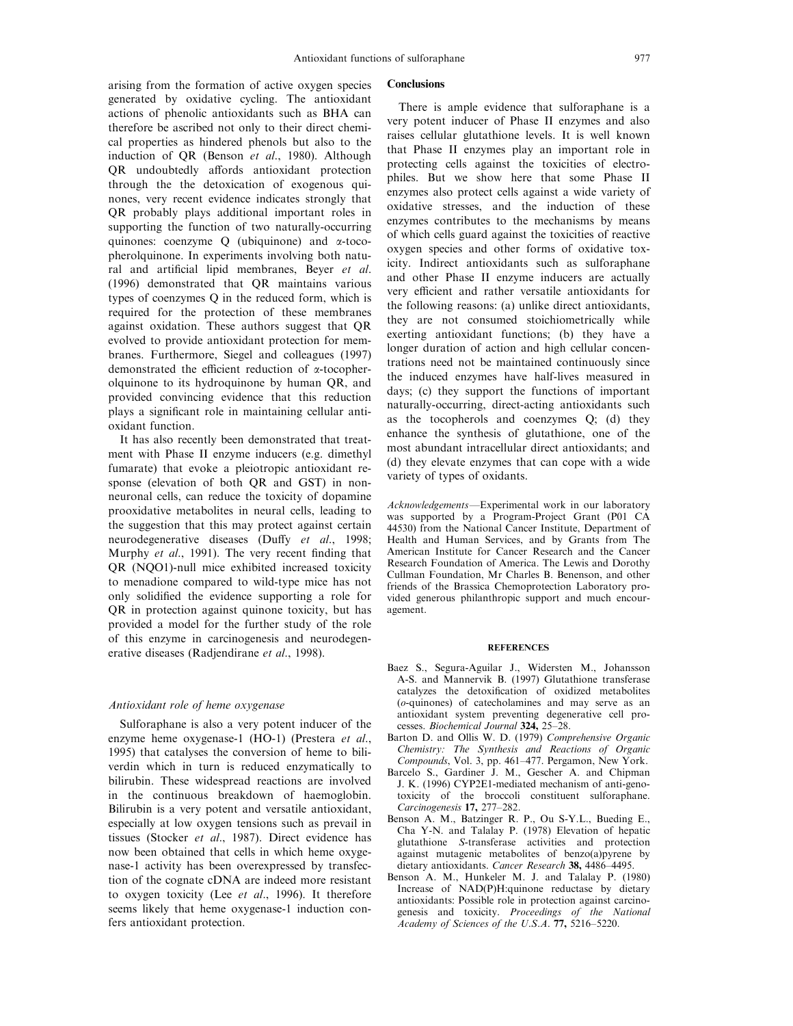arising from the formation of active oxygen species generated by oxidative cycling. The antioxidant actions of phenolic antioxidants such as BHA can therefore be ascribed not only to their direct chemical properties as hindered phenols but also to the induction of QR (Benson et al., 1980). Although QR undoubtedly affords antioxidant protection through the the detoxication of exogenous quinones, very recent evidence indicates strongly that QR probably plays additional important roles in supporting the function of two naturally-occurring quinones: coenzyme Q (ubiquinone) and a-tocopherolquinone. In experiments involving both natural and artificial lipid membranes, Beyer et al. (1996) demonstrated that QR maintains various types of coenzymes Q in the reduced form, which is required for the protection of these membranes against oxidation. These authors suggest that QR evolved to provide antioxidant protection for membranes. Furthermore, Siegel and colleagues (1997) demonstrated the efficient reduction of  $\alpha$ -tocopherolquinone to its hydroquinone by human QR, and provided convincing evidence that this reduction plays a significant role in maintaining cellular antioxidant function.

It has also recently been demonstrated that treatment with Phase II enzyme inducers (e.g. dimethyl fumarate) that evoke a pleiotropic antioxidant response (elevation of both QR and GST) in nonneuronal cells, can reduce the toxicity of dopamine prooxidative metabolites in neural cells, leading to the suggestion that this may protect against certain neurodegenerative diseases (Duffy et al., 1998; Murphy et al., 1991). The very recent finding that QR (NQO1)-null mice exhibited increased toxicity to menadione compared to wild-type mice has not only solidified the evidence supporting a role for QR in protection against quinone toxicity, but has provided a model for the further study of the role of this enzyme in carcinogenesis and neurodegenerative diseases (Radjendirane et al., 1998).

## Antioxidant role of heme oxygenase

Sulforaphane is also a very potent inducer of the enzyme heme oxygenase-1 (HO-1) (Prestera et al., 1995) that catalyses the conversion of heme to biliverdin which in turn is reduced enzymatically to bilirubin. These widespread reactions are involved in the continuous breakdown of haemoglobin. Bilirubin is a very potent and versatile antioxidant, especially at low oxygen tensions such as prevail in tissues (Stocker et al., 1987). Direct evidence has now been obtained that cells in which heme oxygenase-1 activity has been overexpressed by transfection of the cognate cDNA are indeed more resistant to oxygen toxicity (Lee et al., 1996). It therefore seems likely that heme oxygenase-1 induction confers antioxidant protection.

#### **Conclusions**

There is ample evidence that sulforaphane is a very potent inducer of Phase II enzymes and also raises cellular glutathione levels. It is well known that Phase II enzymes play an important role in protecting cells against the toxicities of electrophiles. But we show here that some Phase II enzymes also protect cells against a wide variety of oxidative stresses, and the induction of these enzymes contributes to the mechanisms by means of which cells guard against the toxicities of reactive oxygen species and other forms of oxidative toxicity. Indirect antioxidants such as sulforaphane and other Phase II enzyme inducers are actually very efficient and rather versatile antioxidants for the following reasons: (a) unlike direct antioxidants, they are not consumed stoichiometrically while exerting antioxidant functions; (b) they have a longer duration of action and high cellular concentrations need not be maintained continuously since the induced enzymes have half-lives measured in days; (c) they support the functions of important naturally-occurring, direct-acting antioxidants such as the tocopherols and coenzymes Q; (d) they enhance the synthesis of glutathione, one of the most abundant intracellular direct antioxidants; and (d) they elevate enzymes that can cope with a wide variety of types of oxidants.

Acknowledgements—Experimental work in our laboratory was supported by a Program-Project Grant (P01 CA 44530) from the National Cancer Institute, Department of Health and Human Services, and by Grants from The American Institute for Cancer Research and the Cancer Research Foundation of America. The Lewis and Dorothy Cullman Foundation, Mr Charles B. Benenson, and other friends of the Brassica Chemoprotection Laboratory provided generous philanthropic support and much encouragement.

## **REFERENCES**

- Baez S., Segura-Aguilar J., Widersten M., Johansson A-S. and Mannervik B. (1997) Glutathione transferase catalyzes the detoxification of oxidized metabolites (o-quinones) of catecholamines and may serve as an antioxidant system preventing degenerative cell processes. Biochemical Journal 324, 25-28.
- Barton D. and Ollis W. D. (1979) Comprehensive Organic Chemistry: The Synthesis and Reactions of Organic Compounds, Vol. 3, pp. 461-477. Pergamon, New York.
- Barcelo S., Gardiner J. M., Gescher A. and Chipman J. K. (1996) CYP2E1-mediated mechanism of anti-genotoxicity of the broccoli constituent sulforaphane. Carcinogenesis 17, 277-282.
- Benson A. M., Batzinger R. P., Ou S-Y.L., Bueding E., Cha Y-N. and Talalay P. (1978) Elevation of hepatic glutathione S-transferase activities and protection against mutagenic metabolites of benzo $(a)$  pyrene by dietary antioxidants. Cancer Research 38, 4486-4495.
- Benson A. M., Hunkeler M. J. and Talalay P. (1980) Increase of NAD(P)H:quinone reductase by dietary antioxidants: Possible role in protection against carcinogenesis and toxicity. Proceedings of the National  $Academy of Sciences of the U.S.A. 77, 5216-5220.$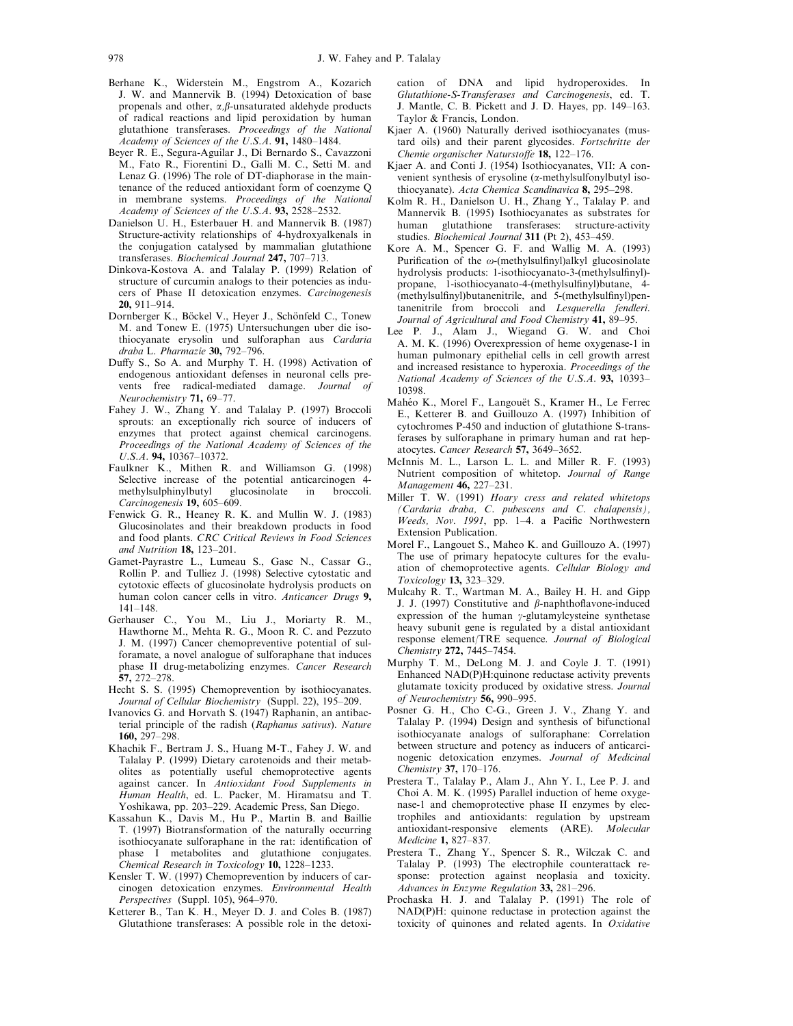- Berhane K., Widerstein M., Engstrom A., Kozarich J. W. and Mannervik B. (1994) Detoxication of base propenals and other,  $\alpha$ , $\beta$ -unsaturated aldehyde products of radical reactions and lipid peroxidation by human glutathione transferases. Proceedings of the National Academy of Sciences of the U.S.A. 91, 1480-1484.
- Beyer R. E., Segura-Aguilar J., Di Bernardo S., Cavazzoni M., Fato R., Fiorentini D., Galli M. C., Setti M. and Lenaz G. (1996) The role of DT-diaphorase in the maintenance of the reduced antioxidant form of coenzyme Q in membrane systems. Proceedings of the National Academy of Sciences of the U.S.A.  $93$ ,  $2528-2532$ .
- Danielson U. H., Esterbauer H. and Mannervik B. (1987) Structure-activity relationships of 4-hydroxyalkenals in the conjugation catalysed by mammalian glutathione transferases. Biochemical Journal 247, 707-713.
- Dinkova-Kostova A. and Talalay P. (1999) Relation of structure of curcumin analogs to their potencies as inducers of Phase II detoxication enzymes. Carcinogenesis 20, 911±914.
- Dornberger K., Böckel V., Heyer J., Schönfeld C., Tonew M. and Tonew E. (1975) Untersuchungen uber die isothiocyanate erysolin und sulforaphan aus Cardaria draba L. Pharmazie  $30$ , 792-796.
- Duffy S., So A. and Murphy T. H. (1998) Activation of endogenous antioxidant defenses in neuronal cells prevents free radical-mediated damage. Journal of Neurochemistry 71, 69-77.
- Fahey J. W., Zhang Y. and Talalay P. (1997) Broccoli sprouts: an exceptionally rich source of inducers of enzymes that protect against chemical carcinogens. Proceedings of the National Academy of Sciences of the  $U.S.A.$  94, 10367-10372.
- Faulkner K., Mithen R. and Williamson G. (1998) Selective increase of the potential anticarcinogen 4 methylsulphinylbutyl glucosinolate in broccoli.  $Carcinogenesis$  19, 605-609.
- Fenwick G. R., Heaney R. K. and Mullin W. J. (1983) Glucosinolates and their breakdown products in food and food plants. CRC Critical Reviews in Food Sciences and Nutrition  $18$ ,  $123-201$ .
- Gamet-Payrastre L., Lumeau S., Gasc N., Cassar G., Rollin P. and Tulliez J. (1998) Selective cytostatic and cytotoxic effects of glucosinolate hydrolysis products on human colon cancer cells in vitro. Anticancer Drugs 9, 141±148.
- Gerhauser C., You M., Liu J., Moriarty R. M., Hawthorne M., Mehta R. G., Moon R. C. and Pezzuto J. M. (1997) Cancer chemopreventive potential of sulforamate, a novel analogue of sulforaphane that induces phase II drug-metabolizing enzymes. Cancer Research **57,** 272–278.
- Hecht S. S. (1995) Chemoprevention by isothiocyanates. Journal of Cellular Biochemistry (Suppl. 22), 195-209.
- Ivanovics G. and Horvath S. (1947) Raphanin, an antibacterial principle of the radish (Raphanus sativus). Nature 160, 297±298.
- Khachik F., Bertram J. S., Huang M-T., Fahey J. W. and Talalay P. (1999) Dietary carotenoids and their metabolites as potentially useful chemoprotective agents against cancer. In Antioxidant Food Supplements in Human Health, ed. L. Packer, M. Hiramatsu and T. Yoshikawa, pp. 203-229. Academic Press, San Diego.
- Kassahun K., Davis M., Hu P., Martin B. and Baillie T. (1997) Biotransformation of the naturally occurring isothiocyanate sulforaphane in the rat: identification of phase I metabolites and glutathione conjugates. Chemical Research in Toxicology 10, 1228-1233.
- Kensler T. W. (1997) Chemoprevention by inducers of carcinogen detoxication enzymes. Environmental Health Perspectives (Suppl. 105), 964-970.
- Ketterer B., Tan K. H., Meyer D. J. and Coles B. (1987) Glutathione transferases: A possible role in the detoxi-

cation of DNA and lipid hydroperoxides. In Glutathione-S-Transferases and Carcinogenesis, ed. T. J. Mantle, C. B. Pickett and J. D. Hayes, pp. 149-163. Taylor & Francis, London.

- Kjaer A. (1960) Naturally derived isothiocyanates (mustard oils) and their parent glycosides. Fortschritte der Chemie organischer Naturstoffe  $18$ ,  $122-176$ .
- Kjaer A. and Conti J. (1954) Isothiocyanates, VII: A convenient synthesis of erysoline (a-methylsulfonylbutyl isothiocyanate). Acta Chemica Scandinavica 8, 295-298.
- Kolm R. H., Danielson U. H., Zhang Y., Talalay P. and Mannervik B. (1995) Isothiocyanates as substrates for human glutathione transferases: structure-activity studies. Biochemical Journal 311 (Pt 2), 453-459.
- Kore A. M., Spencer G. F. and Wallig M. A. (1993) Purification of the  $\omega$ -(methylsulfinyl)alkyl glucosinolate hydrolysis products: 1-isothiocyanato-3-(methylsulfinyl)propane, 1-isothiocyanato-4-(methylsulfinyl)butane, 4-(methylsulfinyl)butanenitrile, and 5-(methylsulfinyl)pentanenitrile from broccoli and Lesquerella fendleri. Journal of Agricultural and Food Chemistry 41, 89-95.
- Lee P. J., Alam J., Wiegand G. W. and Choi A. M. K. (1996) Overexpression of heme oxygenase-1 in human pulmonary epithelial cells in cell growth arrest and increased resistance to hyperoxia. Proceedings of the National Academy of Sciences of the U.S.A. 93, 10393-10398.
- Mahéo K., Morel F., Langouët S., Kramer H., Le Ferrec E., Ketterer B. and Guillouzo A. (1997) Inhibition of cytochromes P-450 and induction of glutathione S-transferases by sulforaphane in primary human and rat hepatocytes. Cancer Research 57, 3649-3652.
- McInnis M. L., Larson L. L. and Miller R. F. (1993) Nutrient composition of whitetop. Journal of Range Management 46, 227-231.
- Miller T. W. (1991) Hoary cress and related whitetops (Cardaria draba, C. pubescens and C. chalapensis), Weeds, Nov. 1991, pp. 1-4. a Pacific Northwestern Extension Publication.
- Morel F., Langouet S., Maheo K. and Guillouzo A. (1997) The use of primary hepatocyte cultures for the evaluation of chemoprotective agents. Cellular Biology and Toxicology 13, 323-329.
- Mulcahy R. T., Wartman M. A., Bailey H. H. and Gipp J. J. (1997) Constitutive and  $\beta$ -naphthoflavone-induced expression of the human  $\gamma$ -glutamylcysteine synthetase heavy subunit gene is regulated by a distal antioxidant response element/TRE sequence. Journal of Biological Chemistry 272, 7445-7454.
- Murphy T. M., DeLong M. J. and Coyle J. T. (1991) Enhanced NAD(P)H:quinone reductase activity prevents glutamate toxicity produced by oxidative stress. Journal of Neurochemistry  $\overline{56}$ , 990-995.
- Posner G. H., Cho C-G., Green J. V., Zhang Y. and Talalay P. (1994) Design and synthesis of bifunctional isothiocyanate analogs of sulforaphane: Correlation between structure and potency as inducers of anticarcinogenic detoxication enzymes. Journal of Medicinal Chemistry 37, 170-176.
- Prestera T., Talalay P., Alam J., Ahn Y. I., Lee P. J. and Choi A. M. K. (1995) Parallel induction of heme oxygenase-1 and chemoprotective phase II enzymes by electrophiles and antioxidants: regulation by upstream antioxidant-responsive elements (ARE). Molecular Medicine 1, 827-837.
- Prestera T., Zhang Y., Spencer S. R., Wilczak C. and Talalay P. (1993) The electrophile counterattack response: protection against neoplasia and toxicity. Advances in Enzyme Regulation 33, 281-296.
- Prochaska H. J. and Talalay P. (1991) The role of NAD(P)H: quinone reductase in protection against the toxicity of quinones and related agents. In Oxidative